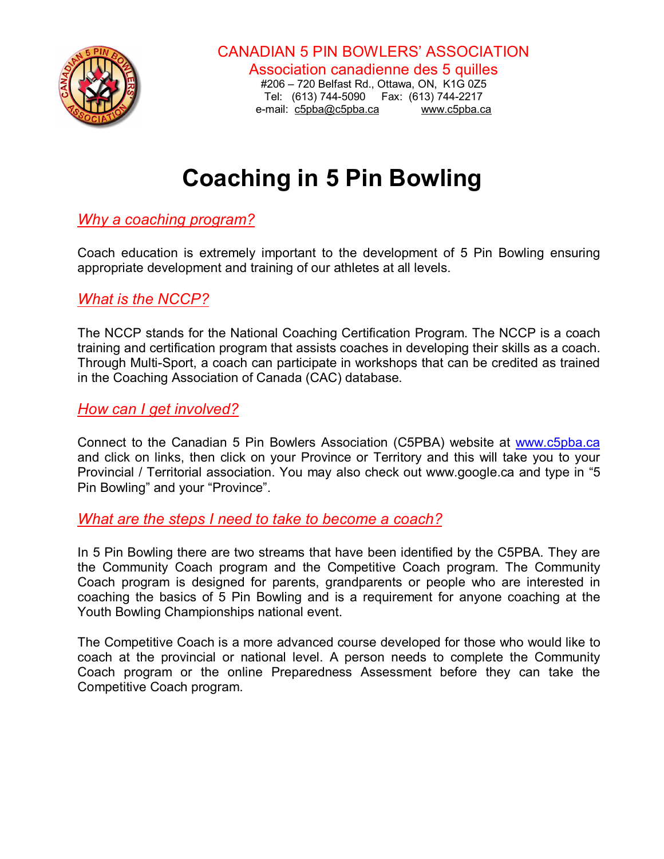

CANADIAN 5 PIN BOWLERS' ASSOCIATION

Association canadienne des 5 quilles #206 – 720 Belfast Rd., Ottawa, ON, K1G 0Z5 Tel: (613) 744-5090 Fax: (613) 744-2217 e-mail: c5pba@c5pba.ca www.c5pba.ca

# **Coaching in 5 Pin Bowling**

## *Why a coaching program?*

Coach education is extremely important to the development of 5 Pin Bowling ensuring appropriate development and training of our athletes at all levels.

### *What is the NCCP?*

The NCCP stands for the National Coaching Certification Program. The NCCP is a coach training and certification program that assists coaches in developing their skills as a coach. Through Multi-Sport, a coach can participate in workshops that can be credited as trained in the Coaching Association of Canada (CAC) database.

*How can I get involved?*

Connect to the Canadian 5 Pin Bowlers Association (C5PBA) website at www.c5pba.ca and click on links, then click on your Province or Territory and this will take you to your Provincial / Territorial association. You may also check out www.google.ca and type in "5 Pin Bowling" and your "Province".

#### *What are the steps I need to take to become a coach?*

In 5 Pin Bowling there are two streams that have been identified by the C5PBA. They are the Community Coach program and the Competitive Coach program. The Community Coach program is designed for parents, grandparents or people who are interested in coaching the basics of 5 Pin Bowling and is a requirement for anyone coaching at the Youth Bowling Championships national event.

The Competitive Coach is a more advanced course developed for those who would like to coach at the provincial or national level. A person needs to complete the Community Coach program or the online Preparedness Assessment before they can take the Competitive Coach program.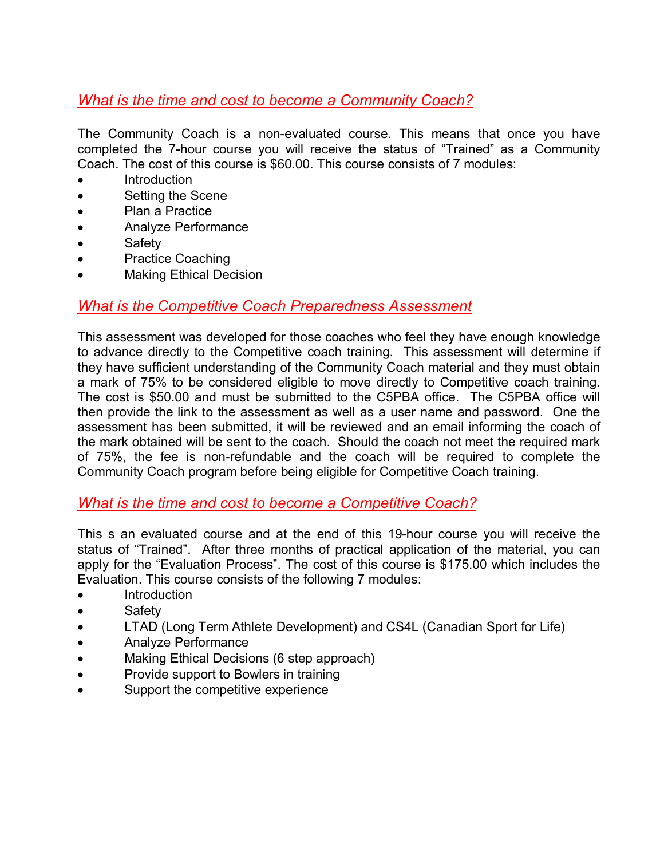## *What is the time and cost to become a Community Coach?*

The Community Coach is a non-evaluated course. This means that once you have completed the 7-hour course you will receive the status of "Trained" as a Community Coach. The cost of this course is \$60.00. This course consists of 7 modules:

- Introduction
- Setting the Scene
- Plan a Practice
- Analyze Performance
- **Safety**
- Practice Coaching
- Making Ethical Decision

#### *What is the Competitive Coach Preparedness Assessment*

This assessment was developed for those coaches who feel they have enough knowledge to advance directly to the Competitive coach training. This assessment will determine if they have sufficient understanding of the Community Coach material and they must obtain a mark of 75% to be considered eligible to move directly to Competitive coach training. The cost is \$50.00 and must be submitted to the C5PBA office. The C5PBA office will then provide the link to the assessment as well as a user name and password. One the assessment has been submitted, it will be reviewed and an email informing the coach of the mark obtained will be sent to the coach. Should the coach not meet the required mark of 75%, the fee is non-refundable and the coach will be required to complete the Community Coach program before being eligible for Competitive Coach training.

### *What is the time and cost to become a Competitive Coach?*

This s an evaluated course and at the end of this 19-hour course you will receive the status of "Trained". After three months of practical application of the material, you can apply for the "Evaluation Process". The cost of this course is \$175.00 which includes the Evaluation. This course consists of the following 7 modules:

- **Introduction**
- Safety
- LTAD (Long Term Athlete Development) and CS4L (Canadian Sport for Life)
- Analyze Performance
- Making Ethical Decisions (6 step approach)
- Provide support to Bowlers in training
- Support the competitive experience